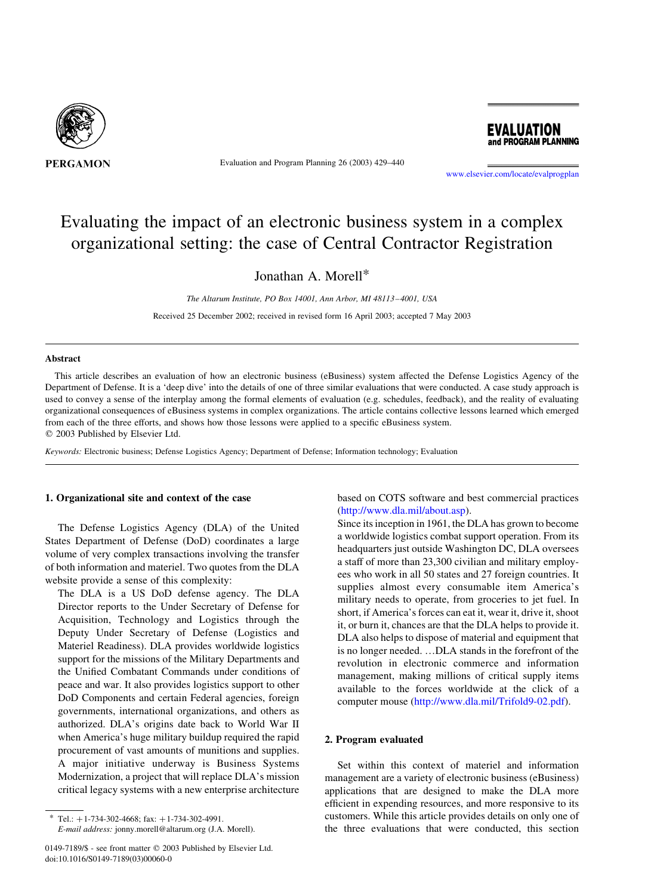

Evaluation and Program Planning 26 (2003) 429–440



[www.elsevier.com/locate/evalprogplan](http://www.elsevier.com/locate/evalprogplan)

# Evaluating the impact of an electronic business system in a complex organizational setting: the case of Central Contractor Registration

Jonathan A. Morell\*

The Altarum Institute, PO Box 14001, Ann Arbor, MI 48113–4001, USA Received 25 December 2002; received in revised form 16 April 2003; accepted 7 May 2003

### Abstract

This article describes an evaluation of how an electronic business (eBusiness) system affected the Defense Logistics Agency of the Department of Defense. It is a 'deep dive' into the details of one of three similar evaluations that were conducted. A case study approach is used to convey a sense of the interplay among the formal elements of evaluation (e.g. schedules, feedback), and the reality of evaluating organizational consequences of eBusiness systems in complex organizations. The article contains collective lessons learned which emerged from each of the three efforts, and shows how those lessons were applied to a specific eBusiness system.  $©$  2003 Published by Elsevier Ltd.

Keywords: Electronic business; Defense Logistics Agency; Department of Defense; Information technology; Evaluation

### 1. Organizational site and context of the case

The Defense Logistics Agency (DLA) of the United States Department of Defense (DoD) coordinates a large volume of very complex transactions involving the transfer of both information and materiel. Two quotes from the DLA website provide a sense of this complexity:

The DLA is a US DoD defense agency. The DLA Director reports to the Under Secretary of Defense for Acquisition, Technology and Logistics through the Deputy Under Secretary of Defense (Logistics and Materiel Readiness). DLA provides worldwide logistics support for the missions of the Military Departments and the Unified Combatant Commands under conditions of peace and war. It also provides logistics support to other DoD Components and certain Federal agencies, foreign governments, international organizations, and others as authorized. DLA's origins date back to World War II when America's huge military buildup required the rapid procurement of vast amounts of munitions and supplies. A major initiative underway is Business Systems Modernization, a project that will replace DLA's mission critical legacy systems with a new enterprise architecture

based on COTS software and best commercial practices ([http://www.dla.mil/about.asp\)](http://www.dla.mil/about.asp).

Since its inception in 1961, the DLA has grown to become a worldwide logistics combat support operation. From its headquarters just outside Washington DC, DLA oversees a staff of more than 23,300 civilian and military employees who work in all 50 states and 27 foreign countries. It supplies almost every consumable item America's military needs to operate, from groceries to jet fuel. In short, if America's forces can eat it, wear it, drive it, shoot it, or burn it, chances are that the DLA helps to provide it. DLA also helps to dispose of material and equipment that is no longer needed. …DLA stands in the forefront of the revolution in electronic commerce and information management, making millions of critical supply items available to the forces worldwide at the click of a computer mouse (<http://www.dla.mil/Trifold9-02.pdf>).

### 2. Program evaluated

Set within this context of materiel and information management are a variety of electronic business (eBusiness) applications that are designed to make the DLA more efficient in expending resources, and more responsive to its customers. While this article provides details on only one of the three evaluations that were conducted, this section

Tel.:  $+ 1-734-302-4668$ ; fax:  $+ 1-734-302-4991$ . E-mail address: jonny.morell@altarum.org (J.A. Morell).

<sup>0149-7189/\$ -</sup> see front matter © 2003 Published by Elsevier Ltd. doi:10.1016/S0149-7189(03)00060-0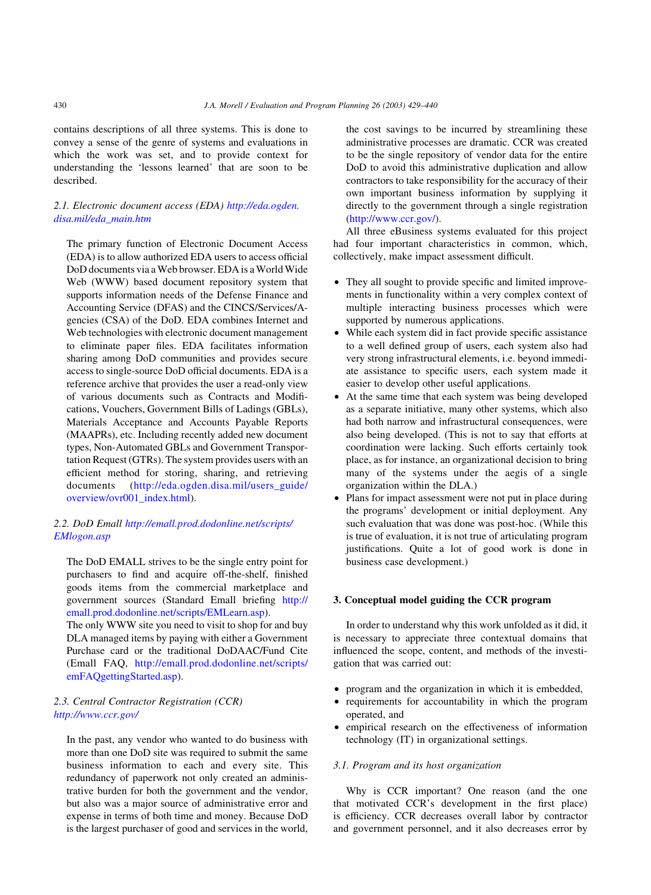contains descriptions of all three systems. This is done to convey a sense of the genre of systems and evaluations in which the work was set, and to provide context for understanding the 'lessons learned' that are soon to be described.

# 2.1. Electronic document access (EDA) [http://eda.ogden.](http://eda.ogden.disa.mil/eda_main.htm) [disa.mil/eda\\_main.htm](http://eda.ogden.disa.mil/eda_main.htm)

The primary function of Electronic Document Access (EDA) is to allow authorized EDA users to access official DoD documents via a Web browser. EDA is a World Wide Web (WWW) based document repository system that supports information needs of the Defense Finance and Accounting Service (DFAS) and the CINCS/Services/Agencies (CSA) of the DoD. EDA combines Internet and Web technologies with electronic document management to eliminate paper files. EDA facilitates information sharing among DoD communities and provides secure access to single-source DoD official documents. EDA is a reference archive that provides the user a read-only view of various documents such as Contracts and Modifications, Vouchers, Government Bills of Ladings (GBLs), Materials Acceptance and Accounts Payable Reports (MAAPRs), etc. Including recently added new document types, Non-Automated GBLs and Government Transportation Request (GTRs). The system provides users with an efficient method for storing, sharing, and retrieving documents ([http://eda.ogden.disa.mil/users\\_guide/](http://eda.ogden.disa.mil/users_guide/overview/ovr001_index.html) [overview/ovr001\\_index.html](http://eda.ogden.disa.mil/users_guide/overview/ovr001_index.html)).

## 2.2. DoD Emall [http://emall.prod.dodonline.net/scripts/](http://emall.prod.dodonline.net/scripts/EMlogon.asp) [EMlogon.asp](http://emall.prod.dodonline.net/scripts/EMlogon.asp)

The DoD EMALL strives to be the single entry point for purchasers to find and acquire off-the-shelf, finished goods items from the commercial marketplace and government sources (Standard Emall briefing [http://](http://emall.prod.dodonline.net/scripts/EMLearn.asp) [emall.prod.dodonline.net/scripts/EMLearn.asp\)](http://emall.prod.dodonline.net/scripts/EMLearn.asp).

The only WWW site you need to visit to shop for and buy DLA managed items by paying with either a Government Purchase card or the traditional DoDAAC/Fund Cite (Emall FAQ, [http://emall.prod.dodonline.net/scripts/](http://emall.prod.dodonline.net/scripts/emFAQgettingStarted.asp) [emFAQgettingStarted.asp\)](http://emall.prod.dodonline.net/scripts/emFAQgettingStarted.asp).

# 2.3. Central Contractor Registration (CCR) <http://www.ccr.gov/>

In the past, any vendor who wanted to do business with more than one DoD site was required to submit the same business information to each and every site. This redundancy of paperwork not only created an administrative burden for both the government and the vendor, but also was a major source of administrative error and expense in terms of both time and money. Because DoD is the largest purchaser of good and services in the world, the cost savings to be incurred by streamlining these administrative processes are dramatic. CCR was created to be the single repository of vendor data for the entire DoD to avoid this administrative duplication and allow contractors to take responsibility for the accuracy of their own important business information by supplying it directly to the government through a single registration (<http://www.ccr.gov/>).

All three eBusiness systems evaluated for this project had four important characteristics in common, which, collectively, make impact assessment difficult.

- They all sought to provide specific and limited improvements in functionality within a very complex context of multiple interacting business processes which were supported by numerous applications.
- While each system did in fact provide specific assistance to a well defined group of users, each system also had very strong infrastructural elements, i.e. beyond immediate assistance to specific users, each system made it easier to develop other useful applications.
- At the same time that each system was being developed as a separate initiative, many other systems, which also had both narrow and infrastructural consequences, were also being developed. (This is not to say that efforts at coordination were lacking. Such efforts certainly took place, as for instance, an organizational decision to bring many of the systems under the aegis of a single organization within the DLA.)
- † Plans for impact assessment were not put in place during the programs' development or initial deployment. Any such evaluation that was done was post-hoc. (While this is true of evaluation, it is not true of articulating program justifications. Quite a lot of good work is done in business case development.)

# 3. Conceptual model guiding the CCR program

In order to understand why this work unfolded as it did, it is necessary to appreciate three contextual domains that influenced the scope, content, and methods of the investigation that was carried out:

- program and the organization in which it is embedded,
- requirements for accountability in which the program operated, and
- empirical research on the effectiveness of information technology (IT) in organizational settings.

### 3.1. Program and its host organization

Why is CCR important? One reason (and the one that motivated CCR's development in the first place) is efficiency. CCR decreases overall labor by contractor and government personnel, and it also decreases error by